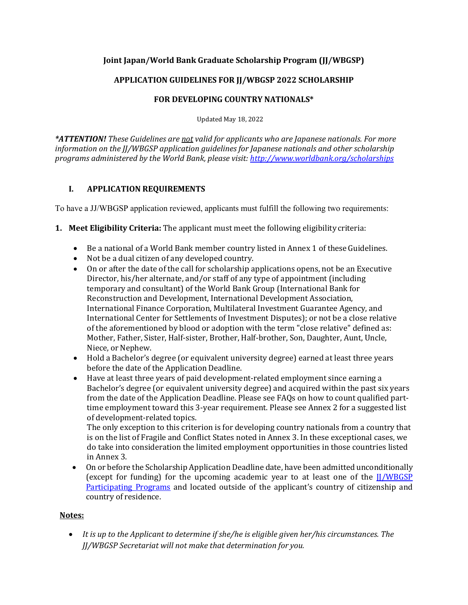# **Joint Japan/World Bank Graduate Scholarship Program (JJ/WBGSP)**

# **APPLICATION GUIDELINES FOR JJ/WBGSP 2022 SCHOLARSHIP**

## **FOR DEVELOPING COUNTRY NATIONALS\***

Updated May 18, 2022

*\*ATTENTION! These Guidelines are not valid for applicants who are Japanese nationals. For more information on the JJ/WBGSP application guidelines for Japanese nationals and other scholarship programs administered by the World Bank, please visit:<http://www.worldbank.org/scholarships>*

# **I. APPLICATION REQUIREMENTS**

To have a JJ/WBGSP application reviewed, applicants must fulfill the following two requirements:

- **1. Meet Eligibility Criteria:** The applicant must meet the following eligibility criteria:
	- Be a national of a World Bank member country listed in Annex 1 of these Guidelines.
	- Not be a dual citizen of any developed country.
	- On or after the date of the call for scholarship applications opens, not be an Executive Director, his/her alternate, and/or staff of any type of appointment (including temporary and consultant) of the World Bank Group (International Bank for Reconstruction and Development, International Development Association, International Finance Corporation, Multilateral Investment Guarantee Agency, and International Center for Settlements of Investment Disputes); or not be a close relative of the aforementioned by blood or adoption with the term "close relative" defined as: Mother, Father, Sister, Half-sister, Brother, Half-brother, Son, Daughter, Aunt, Uncle, Niece, or Nephew.
	- Hold a Bachelor's degree (or equivalent university degree) earned at least three years before the date of the Application Deadline.
	- Have at least three years of paid development-related employment since earning a Bachelor's degree (or equivalent university degree) and acquired within the past six years from the date of the Application Deadline. Please see FAQs on how to count qualified parttime employment toward this 3-year requirement. Please see Annex 2 for a suggested list of development-related topics.

The only exception to this criterion is for developing country nationals from a country that is on the list of Fragile and Conflict States noted in Annex 3. In these exceptional cases, we do take into consideration the limited employment opportunities in those countries listed in Annex 3.

• On or before the Scholarship Application Deadline date, have been admitted unconditionally (except for funding) for the upcoming academic year to at least one of the  $\frac{I}{I/WBGSP}$ [Participating Programs](https://www.worldbank.org/en/programs/scholarships/brief/jjwbgsp-participating-programs-2022-2024-application-window-2) and located outside of the applicant's country of citizenship and country of residence.

# **Notes:**

• *It is up to the Applicant to determine if she/he is eligible given her/his circumstances. The JJ/WBGSP Secretariat will not make that determination for you.*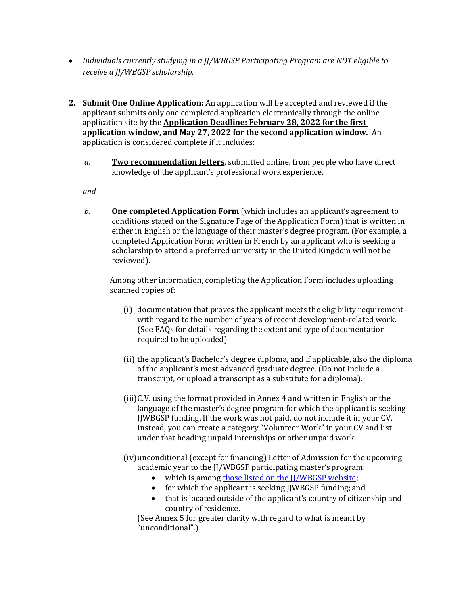- *Individuals currently studying in a JJ/WBGSP Participating Program are NOT eligible to receive a JJ/WBGSP scholarship.*
- **2. Submit One Online Application:** An application will be accepted and reviewed if the applicant submits only one completed application electronically through the online application site by the **Application Deadline: February 28, 2022 for the first application window, and May 27, 2022 for the second application window.** An application is considered complete if it includes:
	- *a.* **Two recommendation letters**, submitted online, from people who have direct knowledge of the applicant's professional work experience.

*and*

*b.* **One completed Application Form** (which includes an applicant's agreement to conditions stated on the Signature Page of the Application Form) that is written in either in English or the language of their master's degree program. (For example, a completed Application Form written in French by an applicant who is seeking a scholarship to attend a preferred university in the United Kingdom will not be reviewed).

Among other information, completing the Application Form includes uploading scanned copies of:

- (i) documentation that proves the applicant meets the eligibility requirement with regard to the number of years of recent development-related work. (See FAQs for details regarding the extent and type of documentation required to be uploaded)
- (ii) the applicant's Bachelor's degree diploma, and if applicable, also the diploma of the applicant's most advanced graduate degree. (Do not include a transcript, or upload a transcript as a substitute for adiploma).
- (iii)C.V. using the format provided in Annex 4 and written in English or the language of the master's degree program for which the applicant is seeking JJWBGSP funding. If the work was not paid, do not include it in your CV. Instead, you can create a category "Volunteer Work" in your CV and list under that heading unpaid internships or other unpaid work.
- (iv)unconditional (except for financing) Letter of Admission for the upcoming academic year to the JJ/WBGSP participating master's program:
	- which is among those listed on the II/WBGSP website;
	- for which the applicant is seeking JJWBGSP funding; and
	- that is located outside of the applicant's country of citizenship and country of residence.

(See Annex 5 for greater clarity with regard to what is meant by "unconditional".)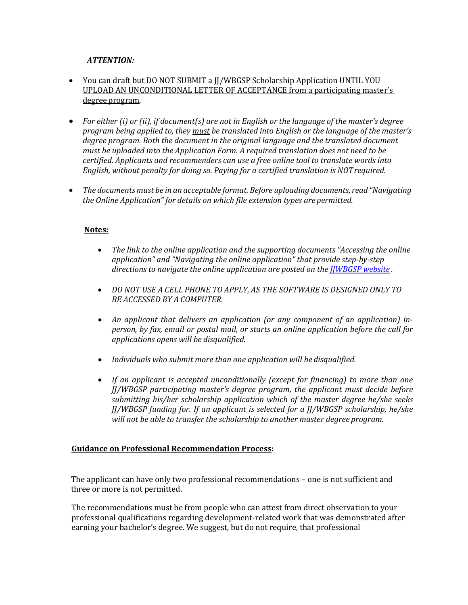## *ATTENTION:*

- You can draft but DO NOT SUBMIT a JJ/WBGSP Scholarship Application UNTIL YOU UPLOAD AN UNCONDITIONAL LETTER OF ACCEPTANCE from a participating master's degreeprogram*.*
- *For either (i) or (ii), if document(s) are not in English or the language of the master's degree program being applied to, they must be translated into English or the language of the master's degree program. Both the document in the original language and the translated document must be uploaded into the Application Form. A required translation does not need to be certified. Applicants and recommenders can use a free online tool to translate words into English, without penalty for doing so. Paying for a certified translation is NOTrequired.*
- *The documentsmust be in an acceptable format. Before uploading documents, read "Navigating the Online Application" for details on which file extension types are permitted.*

### **Notes:**

- *The link to the online application and the supporting documents "Accessing the online application" and "Navigating the online application" that provide step-by-step directions to navigate the online application are posted on the [JJWBGSP website](https://www.worldbank.org/en/programs/scholarships#3) [.](http://www.worldbankgroup.org/scholarships)*
- *DO NOT USE A CELL PHONE TO APPLY, AS THE SOFTWARE IS DESIGNED ONLY TO BE ACCESSED BY A COMPUTER.*
- *An applicant that delivers an application (or any component of an application) inperson, by fax, email or postal mail, or starts an online application before the call for applications opens will be disqualified.*
- *Individuals who submit more than one application will be disqualified.*
- *If an applicant is accepted unconditionally (except for financing) to more than one JJ/WBGSP participating master's degree program, the applicant must decide before submitting his/her scholarship application which of the master degree he/she seeks JJ/WBGSP funding for. If an applicant is selected for a JJ/WBGSP scholarship, he/she will not be able to transfer the scholarship to another master degree program.*

#### **Guidance on Professional Recommendation Process:**

The applicant can have only two professional recommendations – one is not sufficient and three or more is not permitted.

The recommendations must be from people who can attest from direct observation to your professional qualifications regarding development-related work that was demonstrated after earning your bachelor's degree. We suggest, but do not require, that professional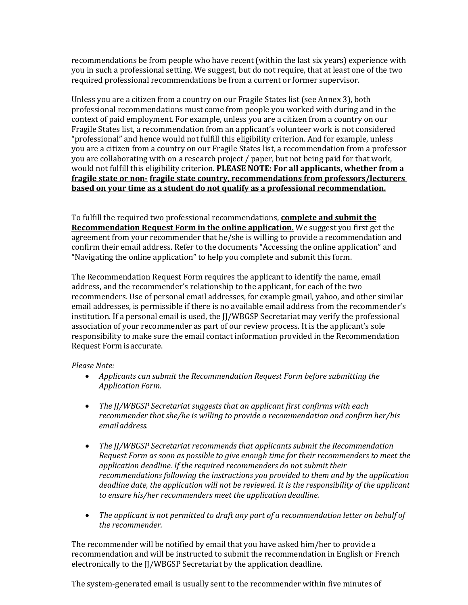recommendations be from people who have recent (within the last six years) experience with you in such a professional setting. We suggest, but do not require, that at least one of the two required professional recommendations be from a current or former supervisor.

Unless you are a citizen from a country on our Fragile States list (see Annex 3), both professional recommendations must come from people you worked with during and in the context of paid employment. For example, unless you are a citizen from a country on our Fragile States list, a recommendation from an applicant's volunteer work is not considered "professional" and hence would not fulfill this eligibility criterion. And for example, unless you are a citizen from a country on our Fragile States list, a recommendation from a professor you are collaborating with on a research project / paper, but not being paid for that work, would not fulfill this eligibility criterion. **PLEASE NOTE: For all applicants, whether from a fragile state or non- fragile state country, recommendations from professors/lecturers based on your time as a student do not qualify as a professional recommendation.**

To fulfill the required two professional recommendations, **complete and submit the Recommendation Request Form in the online application.** We suggest you first get the agreement from your recommender that he/she is willing to provide a recommendation and confirm their email address. Refer to the documents "Accessing the online application" and "Navigating the online application" to help you complete and submit this form.

The Recommendation Request Form requires the applicant to identify the name, email address, and the recommender's relationship to the applicant, for each of the two recommenders. Use of personal email addresses, for example gmail, yahoo, and other similar email addresses, is permissible if there is no available email address from the recommender's institution. If a personal email is used, the JJ/WBGSP Secretariat may verify the professional association of your recommender as part of our review process. It is the applicant's sole responsibility to make sure the email contact information provided in the Recommendation Request Form isaccurate.

#### *Please Note:*

- *Applicants can submit the Recommendation Request Form before submitting the Application Form.*
- *The JJ/WBGSP Secretariat suggests that an applicant first confirms with each recommender that she/he is willing to provide a recommendation and confirm her/his emailaddress.*
- *The JJ/WBGSP Secretariat recommends that applicants submit the Recommendation Request Form as soon as possible to give enough time for their recommenders to meet the application deadline. If the required recommenders do not submit their recommendations following the instructions you provided to them and by the application deadline date, the application will not be reviewed. It is the responsibility of the applicant to ensure his/her recommenders meet the application deadline.*
- *The applicant is not permitted to draft any part of a recommendation letter on behalf of the recommender.*

The recommender will be notified by email that you have asked him/her to provide a recommendation and will be instructed to submit the recommendation in English or French electronically to the JJ/WBGSP Secretariat by the application deadline.

The system-generated email is usually sent to the recommender within five minutes of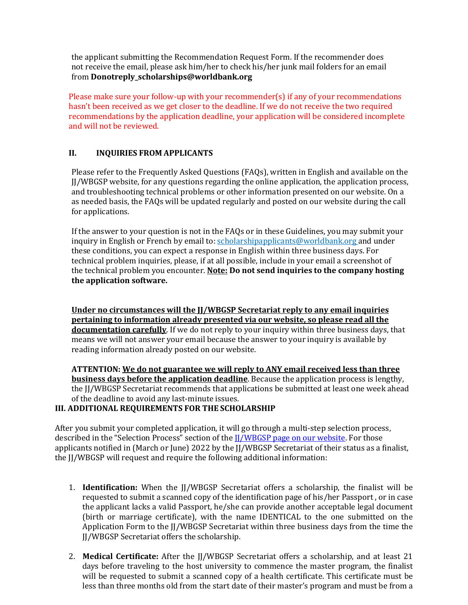the applicant submitting the Recommendation Request Form. If the recommender does not receive the email, please ask him/her to check his/her junk mail folders for an email from **[Donotreply\\_scholarships@worldbank.org](mailto:Donotreply_scholarships@worldbank.org)** 

Please make sure your follow-up with your recommender(s) if any of your recommendations hasn't been received as we get closer to the deadline. If we do not receive the two required recommendations by the application deadline, your application will be considered incomplete and will not be reviewed.

## **II. INQUIRIES FROM APPLICANTS**

Please refer to the Frequently Asked Questions (FAQs), written in English and available on the JJ/WBGSP website, for any questions regarding the online application, the application process, and troubleshooting technical problems or other information presented on our website. On a as needed basis, the FAQs will be updated regularly and posted on our website during the call for applications.

If the answer to your question is not in the FAQs or in these Guidelines, you may submit your inquiry in English or French by email to[: scholarshipapplicants@worldbank.org a](mailto:scholarshipapplicants@worldbank.org)nd under these conditions, you can expect a response in English within three business days. For technical problem inquiries, please, if at all possible, include in your email a screenshot of the technical problem you encounter. **Note: Do not send inquiries to the company hosting the application software.**

**Under no circumstances will the JJ/WBGSP Secretariat reply to any email inquiries pertaining to information already presented via our website, so please read all the documentation carefully**. If we do not reply to your inquiry within three business days, that means we will not answer your email because the answer to your inquiry is available by reading information already posted on our website.

**ATTENTION: We do not guarantee we will reply to ANY email received less than three business days before the application deadline**. Because the application process is lengthy, the JJ/WBGSP Secretariat recommends that applications be submitted at least one week ahead of the deadline to avoid any last-minute issues.

#### **III. ADDITIONAL REQUIREMENTS FOR THE SCHOLARSHIP**

After you submit your completed application, it will go through a multi-step selection process, described in the "Selection Process" section of the [JJ/WBGSP page on our website.](https://www.worldbank.org/en/programs/scholarships#3) For those applicants notified in (March or June) 2022 by the JJ/WBGSP Secretariat of their status as a finalist, the JJ/WBGSP will request and require the following additional information:

- 1. **Identification:** When the JJ/WBGSP Secretariat offers a scholarship, the finalist will be requested to submit a scanned copy of the identification page of his/her Passport , or in case the applicant lacks a valid Passport, he/she can provide another acceptable legal document (birth or marriage certificate), with the name IDENTICAL to the one submitted on the Application Form to the JJ/WBGSP Secretariat within three business days from the time the JJ/WBGSP Secretariat offers the scholarship.
- 2. **Medical Certificate:** After the JJ/WBGSP Secretariat offers a scholarship, and at least 21 days before traveling to the host university to commence the master program, the finalist will be requested to submit a scanned copy of a health certificate. This certificate must be less than three months old from the start date of their master's program and must be from a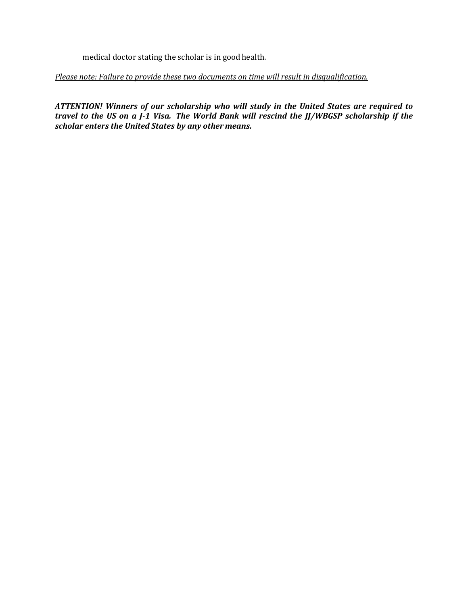medical doctor stating the scholar is in good health.

*Please note: Failure to provide these two documents on time will result in disqualification.*

*ATTENTION! Winners of our scholarship who will study in the United States are required to travel to the US on a J-1 Visa. The World Bank will rescind the JJ/WBGSP scholarship if the scholar enters the United States by any other means.*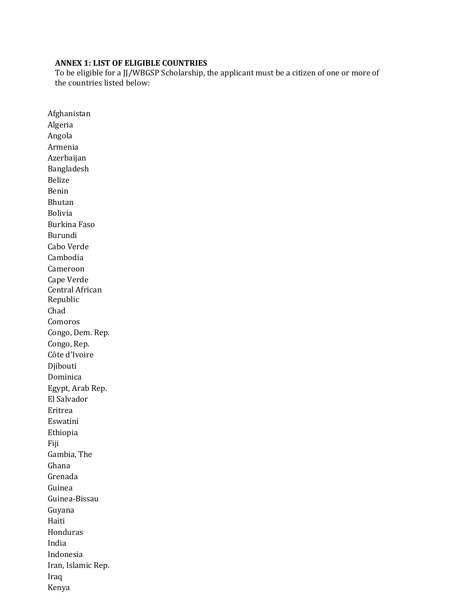## **ANNEX 1: LIST OF ELIGIBLE COUNTRIES**

To be eligible for a JJ/WBGSP Scholarship, the applicant must be a citizen of one or more of the countries listed below:

Afghanistan Algeria Angola Armenia Azerbaijan Bangladesh Belize Benin Bhutan Bolivia Burkina Faso Burundi Cabo Verde Cambodia Cameroon Cape Verde Central African Republic Chad Comoros Congo, Dem. Rep. Congo, Rep. Côte d'Ivoire Djibouti Dominica Egypt, Arab Rep. El Salvador Eritrea Eswatini Ethiopia Fiji Gambia, The Ghana Grenada Guinea Guinea-Bissau Guyana Haiti Honduras India Indonesia Iran, Islamic Rep. Iraq Kenya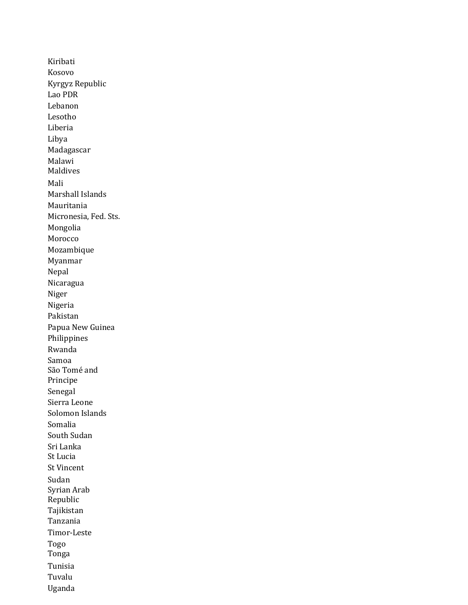Kiribati Kosovo Kyrgyz Republic Lao PDR Lebanon Lesotho Liberia Libya Madagascar Malawi Maldives Mali Marshall Islands Mauritania Micronesia, Fed. Sts. Mongolia Morocco Mozambique Myanmar Nepal Nicaragua Niger Nigeria Pakistan Papua New Guinea Philippines Rwanda Samoa São Tomé and Principe Senegal Sierra Leone Solomon Islands Somalia South Sudan Sri Lanka St Lucia St Vincent Sudan Syrian Arab Republic Tajikistan Tanzania Timor-Leste Togo Tonga Tunisia Tuvalu Uganda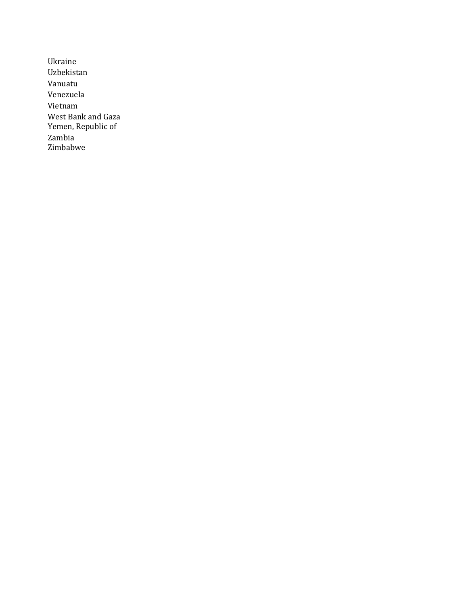Ukraine Uzbekistan Vanuatu Venezuela Vietnam West Bank and Gaza Yemen, Republic of Zambia Zimbabwe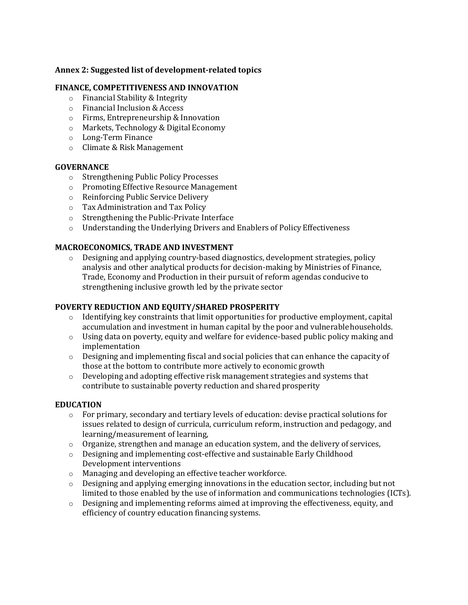## **Annex 2: Suggested list of development-related topics**

### **FINANCE, COMPETITIVENESS AND INNOVATION**

- o Financial Stability & Integrity
- o Financial Inclusion & Access
- o Firms, Entrepreneurship & Innovation
- o Markets, Technology & Digital Economy
- o Long-Term Finance
- o Climate & Risk Management

#### **GOVERNANCE**

- o [Strengthening Public Policy](https://worldbankgroup.sharepoint.com/sites/Governance/Pages/pc/Foundations-and-Frontiers/Strengthening-Public-Policy-Processes-06012018-161316.aspx) Processes
- o [Promoting Effective Resource](https://worldbankgroup.sharepoint.com/sites/Governance/Pages/pc/Foundations-and-Frontiers/Promoting-Effective-Resource-Management-06012018-161734.aspx) Management
- o [Reinforcing Public Service](https://worldbankgroup.sharepoint.com/sites/Governance/Pages/pc/Foundations-and-Frontiers/Reinforcing-Public-Service-Delivery-06012018-163608.aspx) Delivery
- o Tax Administration and Tax Policy
- o [Strengthening the Public-Private](https://worldbankgroup.sharepoint.com/sites/Governance/Pages/pc/Foundations-and-Frontiers/Strengthening-the-PublicPrivate-Interface-06012018-164213.aspx) Interface
- o [Understanding the Underlying Drivers and Enablers of Policy](https://worldbankgroup.sharepoint.com/sites/Governance/Pages/pc/Foundations-and-Frontiers/Understanding-the-Underlying-Drivers-and-Enablers-of-Policy-Effectiveness-06012018-164454.aspx) Effectiveness

## **MACROECONOMICS, TRADE AND INVESTMENT**

 $\circ$  Designing and applying country-based diagnostics, development strategies, policy analysis and other analytical products for decision-making by Ministries of Finance, Trade, Economy and Production in their pursuit of reform agendas conducive to strengthening inclusive growth led by the private sector

### **POVERTY REDUCTION AND EQUITY/SHARED PROSPERITY**

- $\circ$  Identifying key constraints that limit opportunities for productive employment, capital accumulation and investment in human capital by the poor and vulnerablehouseholds.
- $\circ$  Using data on poverty, equity and welfare for evidence-based public policy making and implementation
- $\circ$  Designing and implementing fiscal and social policies that can enhance the capacity of those at the bottom to contribute more actively to economic growth
- $\circ$  Developing and adopting effective risk management strategies and systems that contribute to sustainable poverty reduction and shared prosperity

#### **EDUCATION**

- o For primary, secondary and tertiary levels of education: devise practical solutions for issues related to design of curricula, curriculum reform, instruction and pedagogy, and learning/measurement of learning,
- o Organize, strengthen and manage an education system, and the delivery of services,
- o Designing and implementing cost-effective and sustainable Early Childhood Development interventions
- o Managing and developing an effective teacher workforce.
- o Designing and applying emerging innovations in the education sector, including but not limited to those enabled by the use of information and communications technologies (ICTs).
- $\circ$  Designing and implementing reforms aimed at improving the effectiveness, equity, and efficiency of country education financing systems.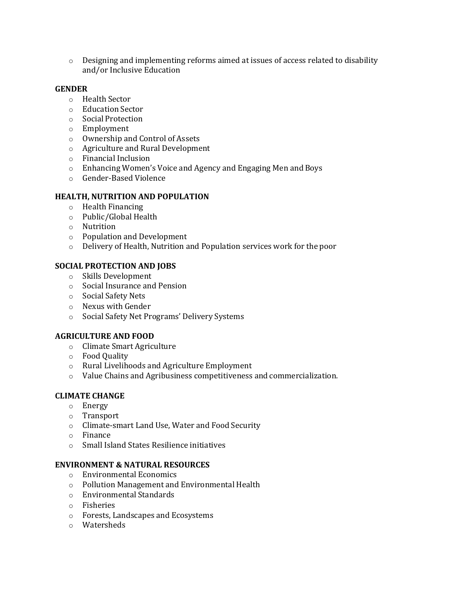$\circ$  Designing and implementing reforms aimed at issues of access related to disability and/or Inclusive Education

### **GENDER**

- o Health Sector
- o Education Sector
- o Social Protection
- o Employment
- o Ownership and Control of Assets
- o Agriculture and Rural Development
- o Financial Inclusion
- o Enhancing Women's Voice and Agency and Engaging Men and Boys
- o Gender-Based Violence

### **HEALTH, NUTRITION AND POPULATION**

- o [Health Financing](https://worldbankgroup.sharepoint.com/sites/gsg/Financing/Pages/Home.aspx)
- o Public/Global [Health](https://worldbankgroup.sharepoint.com/sites/gsg/HealthySocieties/Pages/Home.aspx)
- o [Nutrition](https://worldbankgroup.sharepoint.com/sites/gsg/Nutrition/Pages/Home.aspx)
- o [Population and](https://worldbankgroup.sharepoint.com/sites/gsg/PopulationDevelopment/Pages/Home.aspx) Development
- o [Delivery o](https://worldbankgroup.sharepoint.com/sites/gsg/ServiceDelivery/Pages/Home.aspx)f Health, Nutrition and Population services work for the poor

### **SOCIAL PROTECTION AND JOBS**

- o Skills Development
- o Social Insurance and Pension
- o Social Safety Nets
- o Nexus with Gender
- o Social Safety Net Programs' Delivery Systems

## **AGRICULTURE AND FOOD**

- o Climate Smart Agriculture
- o Food Quality
- o Rural Livelihoods and Agriculture Employment
- o Value Chains and Agribusiness competitiveness and commercialization.

## **CLIMATE CHANGE**

- o Energy
- o Transport
- o Climate-smart Land Use, Water and Food Security
- o Finance
- o Small Island States Resilience initiatives

#### **ENVIRONMENT & NATURAL RESOURCES**

- o Environmental Economics
- o Pollution Management and Environmental Health
- o Environmental Standards
- o Fisheries
- o Forests, Landscapes and Ecosystems
- o Watersheds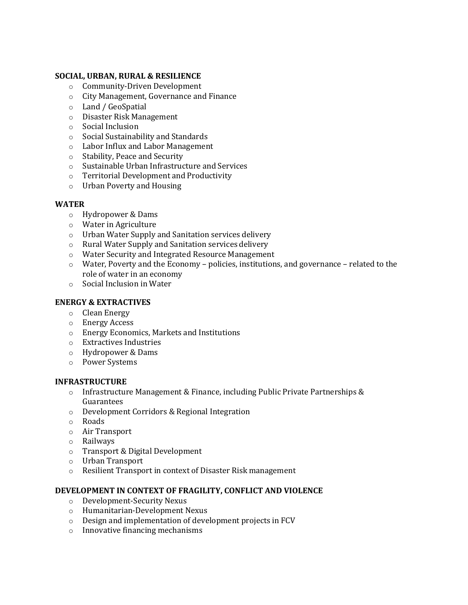## **SOCIAL, URBAN, RURAL & RESILIENCE**

- o Community-Driven Development
- o City Management, Governance and Finance
- o Land / GeoSpatial
- o Disaster Risk Management
- o Social Inclusion
- o Social Sustainability and Standards
- o Labor Influx and Labor Management
- o Stability, Peace and Security
- o Sustainable Urban Infrastructure and Services
- o Territorial Development and Productivity
- o Urban Poverty and Housing

### **WATER**

- o Hydropower & Dams
- o Water in Agriculture
- o Urban Water Supply and Sanitation services delivery
- o Rural Water Supply and Sanitation services delivery
- o Water Security and Integrated Resource Management
- o Water, Poverty and the Economy policies, institutions, and governance related to the role of water in an economy
- o Social Inclusion in Water

## **ENERGY & EXTRACTIVES**

- o Clean Energy
- o Energy Access
- o Energy Economics, Markets and Institutions
- o Extractives Industries
- o Hydropower & Dams
- o Power Systems

#### **INFRASTRUCTURE**

- $\circ$  Infrastructure Management & Finance, including Public Private Partnerships & Guarantees
- o Development Corridors & Regional Integration
- o Roads
- o Air Transport
- o Railways
- o Transport & Digital Development
- o Urban Transport
- o Resilient Transport in context of Disaster Risk management

### **DEVELOPMENT IN CONTEXT OF FRAGILITY, CONFLICT AND VIOLENCE**

- o Development-Security Nexus
- o Humanitarian-Development Nexus
- o Design and implementation of development projects in FCV
- o Innovative financing mechanisms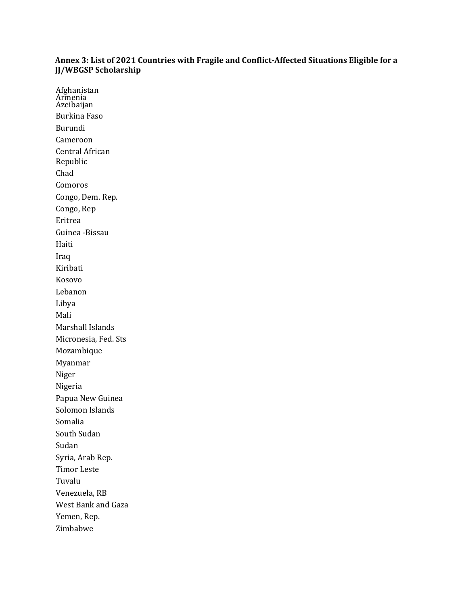### **Annex 3: List of 2021 Countries with Fragile and Conflict-Affected Situations Eligible for a JJ/WBGSP Scholarship**

Afghanistan Armenia<br>Artikalia Azeibaijan Burkina Faso Burundi Cameroon Central African Republic Chad Comoros Congo, Dem. Rep. Congo, Rep Eritrea Guinea -Bissau Haiti Iraq Kiribati Kosovo Lebanon Libya Mali Marshall Islands Micronesia, Fed. Sts Mozambique Myanmar Niger Nigeria Papua New Guinea Solomon Islands Somalia South Sudan Sudan Syria, Arab Rep. Timor Leste Tuvalu Venezuela, RB West Bank and Gaza Yemen, Rep. Zimbabwe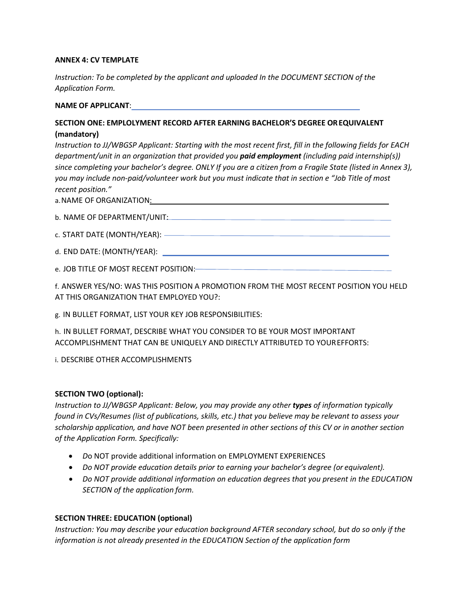### **ANNEX 4: CV TEMPLATE**

*Instruction: To be completed by the applicant and uploaded In the DOCUMENT SECTION of the Application Form.*

#### **NAME OF APPLICANT**:

## **SECTION ONE: EMPLOLYMENT RECORD AFTER EARNING BACHELOR'S DEGREE OREQUIVALENT (mandatory)**

*Instruction to JJ/WBGSP Applicant: Starting with the most recent first, fill in the following fields for EACH department/unit in an organization that provided you paid employment (including paid internship(s)) since completing your bachelor's degree. ONLY If you are a citizen from a Fragile State (listed in Annex 3), you may include non-paid/volunteer work but you must indicate that in section e "Job Title of most recent position."*

a.NAME OF ORGANIZATION:

| b. NAME OF DEPARTMENT/UNIT:   |  |
|-------------------------------|--|
| c. START DATE (MONTH/YEAR): - |  |

d. END DATE: (MONTH/YEAR):

e. JOB TITLE OF MOST RECENT POSITION:

f. ANSWER YES/NO: WAS THIS POSITION A PROMOTION FROM THE MOST RECENT POSITION YOU HELD AT THIS ORGANIZATION THAT EMPLOYED YOU?:

g. IN BULLET FORMAT, LIST YOUR KEY JOB RESPONSIBILITIES:

h. IN BULLET FORMAT, DESCRIBE WHAT YOU CONSIDER TO BE YOUR MOST IMPORTANT ACCOMPLISHMENT THAT CAN BE UNIQUELY AND DIRECTLY ATTRIBUTED TO YOUREFFORTS:

i. DESCRIBE OTHER ACCOMPLISHMENTS

## **SECTION TWO (optional):**

*Instruction to JJ/WBGSP Applicant: Below, you may provide any other types of information typically found in CVs/Resumes (list of publications, skills, etc.) that you believe may be relevant to assess your scholarship application, and have NOT been presented in other sections of this CV or in another section of the Application Form. Specifically:*

- *D*o NOT provide additional information on EMPLOYMENT EXPERIENCES
- *Do NOT provide education details prior to earning your bachelor's degree (or equivalent).*
- *Do NOT provide additional information on education degrees that you present in the EDUCATION SECTION of the application form.*

## **SECTION THREE: EDUCATION (optional)**

*Instruction: You may describe your education background AFTER secondary school, but do so only if the information is not already presented in the EDUCATION Section of the application form*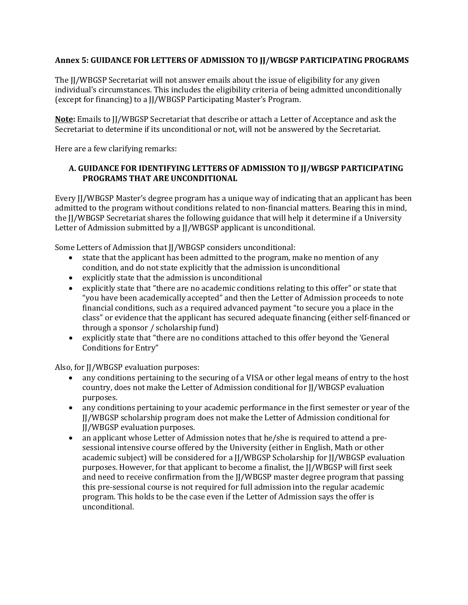## **Annex 5: GUIDANCE FOR LETTERS OF ADMISSION TO JJ/WBGSP PARTICIPATING PROGRAMS**

The JJ/WBGSP Secretariat will not answer emails about the issue of eligibility for any given individual's circumstances. This includes the eligibility criteria of being admitted unconditionally (except for financing) to a JJ/WBGSP Participating Master's Program.

**Note:** Emails to JJ/WBGSP Secretariat that describe or attach a Letter of Acceptance and ask the Secretariat to determine if its unconditional or not, will not be answered by the Secretariat.

Here are a few clarifying remarks:

## **A. GUIDANCE FOR IDENTIFYING LETTERS OF ADMISSION TO JJ/WBGSP PARTICIPATING PROGRAMS THAT ARE UNCONDITIONAL**

Every JJ/WBGSP Master's degree program has a unique way of indicating that an applicant has been admitted to the program without conditions related to non-financial matters. Bearing this in mind, the JJ/WBGSP Secretariat shares the following guidance that will help it determine if a University Letter of Admission submitted by a JJ/WBGSP applicant is unconditional.

Some Letters of Admission that JJ/WBGSP considers unconditional:

- state that the applicant has been admitted to the program, make no mention of any condition, and do not state explicitly that the admission is unconditional
- explicitly state that the admission is unconditional
- explicitly state that "there are no academic conditions relating to this offer" or state that "you have been academically accepted" and then the Letter of Admission proceeds to note financial conditions, such as a required advanced payment "to secure you a place in the class" or evidence that the applicant has secured adequate financing (either self-financed or through a sponsor / scholarship fund)
- explicitly state that "there are no conditions attached to this offer beyond the 'General Conditions for Entry"

Also, for II/WBGSP evaluation purposes:

- any conditions pertaining to the securing of a VISA or other legal means of entry to the host country, does not make the Letter of Admission conditional for JJ/WBGSP evaluation purposes.
- any conditions pertaining to your academic performance in the first semester or year of the JJ/WBGSP scholarship program does not make the Letter of Admission conditional for JJ/WBGSP evaluation purposes.
- an applicant whose Letter of Admission notes that he/she is required to attend a presessional intensive course offered by the University (either in English, Math or other academic subject) will be considered for a JJ/WBGSP Scholarship for JJ/WBGSP evaluation purposes. However, for that applicant to become a finalist, the JJ/WBGSP will first seek and need to receive confirmation from the JJ/WBGSP master degree program that passing this pre-sessional course is not required for full admission into the regular academic program. This holds to be the case even if the Letter of Admission says the offer is unconditional.